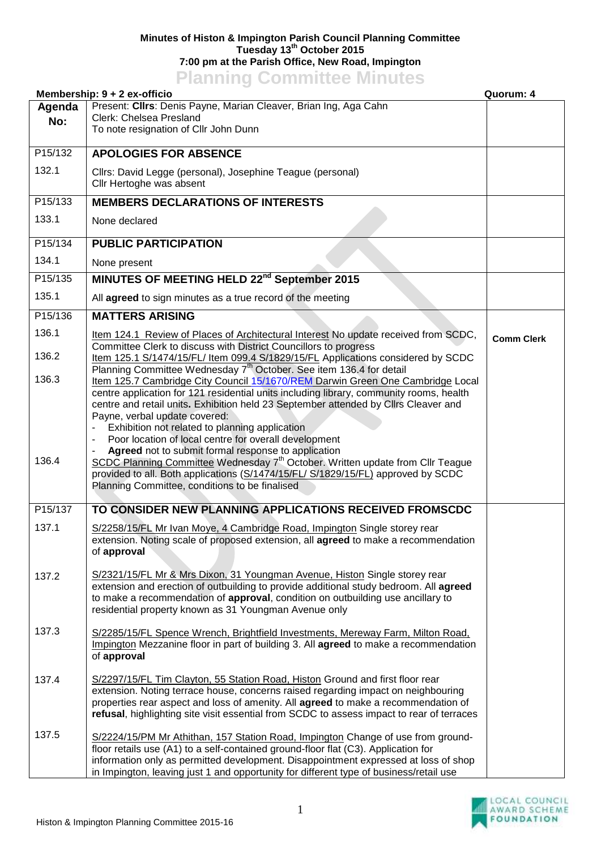## **Minutes of Histon & Impington Parish Council Planning Committee Tuesday 13th October 2015 7:00 pm at the Parish Office, New Road, Impington Planning Committee Minutes**

| <b>THE TERM OF STATISTICS</b> INTERNATION<br>Membership: 9 + 2 ex-officio<br>Quorum: 4 |                                                                                                                                                                                                                                                                                                                                                                                                                                     |                   |
|----------------------------------------------------------------------------------------|-------------------------------------------------------------------------------------------------------------------------------------------------------------------------------------------------------------------------------------------------------------------------------------------------------------------------------------------------------------------------------------------------------------------------------------|-------------------|
| Agenda                                                                                 | Present: Clirs: Denis Payne, Marian Cleaver, Brian Ing, Aga Cahn                                                                                                                                                                                                                                                                                                                                                                    |                   |
| No:                                                                                    | Clerk: Chelsea Presland<br>To note resignation of Cllr John Dunn                                                                                                                                                                                                                                                                                                                                                                    |                   |
|                                                                                        |                                                                                                                                                                                                                                                                                                                                                                                                                                     |                   |
| P <sub>15</sub> /132                                                                   | <b>APOLOGIES FOR ABSENCE</b>                                                                                                                                                                                                                                                                                                                                                                                                        |                   |
| 132.1                                                                                  | Cllrs: David Legge (personal), Josephine Teague (personal)<br>Cllr Hertoghe was absent                                                                                                                                                                                                                                                                                                                                              |                   |
| P15/133                                                                                | <b>MEMBERS DECLARATIONS OF INTERESTS</b>                                                                                                                                                                                                                                                                                                                                                                                            |                   |
| 133.1                                                                                  | None declared                                                                                                                                                                                                                                                                                                                                                                                                                       |                   |
| P15/134                                                                                | <b>PUBLIC PARTICIPATION</b>                                                                                                                                                                                                                                                                                                                                                                                                         |                   |
| 134.1                                                                                  | None present                                                                                                                                                                                                                                                                                                                                                                                                                        |                   |
| P15/135                                                                                | MINUTES OF MEETING HELD 22 <sup>nd</sup> September 2015                                                                                                                                                                                                                                                                                                                                                                             |                   |
| 135.1                                                                                  | All agreed to sign minutes as a true record of the meeting                                                                                                                                                                                                                                                                                                                                                                          |                   |
| P15/136                                                                                | <b>MATTERS ARISING</b>                                                                                                                                                                                                                                                                                                                                                                                                              |                   |
| 136.1                                                                                  | Item 124.1 Review of Places of Architectural Interest No update received from SCDC,<br>Committee Clerk to discuss with District Councillors to progress                                                                                                                                                                                                                                                                             | <b>Comm Clerk</b> |
| 136.2                                                                                  | Item 125.1 S/1474/15/FL/ Item 099.4 S/1829/15/FL Applications considered by SCDC<br>Planning Committee Wednesday 7 <sup>th</sup> October. See item 136.4 for detail                                                                                                                                                                                                                                                                 |                   |
| 136.3                                                                                  | Item 125.7 Cambridge City Council 15/1670/REM Darwin Green One Cambridge Local<br>centre application for 121 residential units including library, community rooms, health<br>centre and retail units. Exhibition held 23 September attended by Cllrs Cleaver and                                                                                                                                                                    |                   |
| 136.4                                                                                  | Payne, verbal update covered:<br>Exhibition not related to planning application<br>Poor location of local centre for overall development<br>Agreed not to submit formal response to application<br>SCDC Planning Committee Wednesday 7 <sup>th</sup> October. Written update from Cllr Teague<br>provided to all. Both applications (S/1474/15/FL/ S/1829/15/FL) approved by SCDC<br>Planning Committee, conditions to be finalised |                   |
| P15/137                                                                                | TO CONSIDER NEW PLANNING APPLICATIONS RECEIVED FROMSCDC                                                                                                                                                                                                                                                                                                                                                                             |                   |
| 137.1                                                                                  | S/2258/15/FL Mr Ivan Moye, 4 Cambridge Road, Impington Single storey rear<br>extension. Noting scale of proposed extension, all <b>agreed</b> to make a recommendation<br>of approval                                                                                                                                                                                                                                               |                   |
| 137.2                                                                                  | S/2321/15/FL Mr & Mrs Dixon, 31 Youngman Avenue, Histon Single storey rear<br>extension and erection of outbuilding to provide additional study bedroom. All agreed<br>to make a recommendation of approval, condition on outbuilding use ancillary to<br>residential property known as 31 Youngman Avenue only                                                                                                                     |                   |
| 137.3                                                                                  | S/2285/15/FL Spence Wrench, Brightfield Investments, Mereway Farm, Milton Road,<br>Impington Mezzanine floor in part of building 3. All agreed to make a recommendation<br>of approval                                                                                                                                                                                                                                              |                   |
| 137.4                                                                                  | S/2297/15/FL Tim Clayton, 55 Station Road, Histon Ground and first floor rear<br>extension. Noting terrace house, concerns raised regarding impact on neighbouring<br>properties rear aspect and loss of amenity. All agreed to make a recommendation of<br>refusal, highlighting site visit essential from SCDC to assess impact to rear of terraces                                                                               |                   |
| 137.5                                                                                  | S/2224/15/PM Mr Athithan, 157 Station Road, Impington Change of use from ground-<br>floor retails use (A1) to a self-contained ground-floor flat (C3). Application for<br>information only as permitted development. Disappointment expressed at loss of shop<br>in Impington, leaving just 1 and opportunity for different type of business/retail use                                                                             |                   |